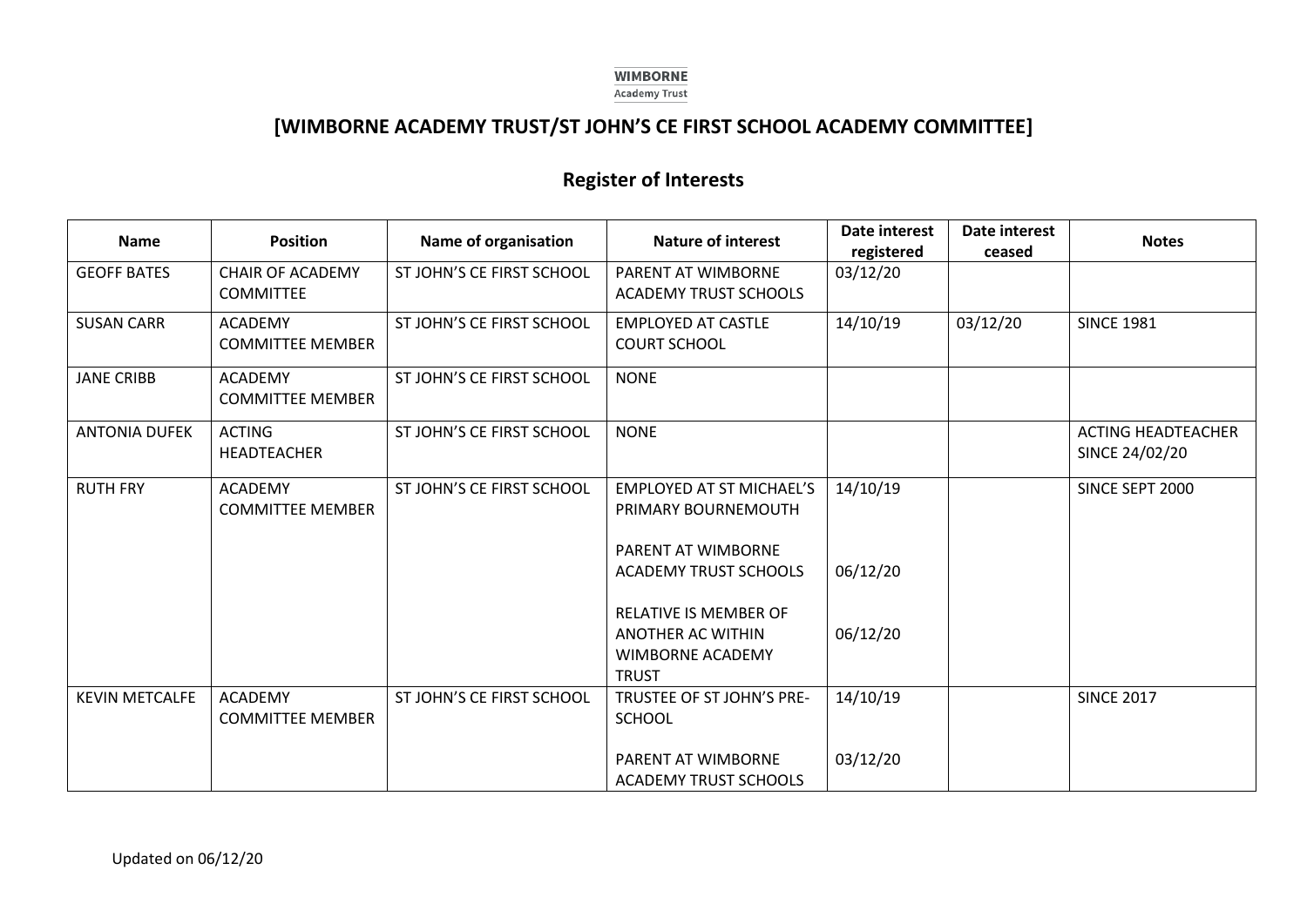#### **WIMBORNE Academy Trust**

# **[WIMBORNE ACADEMY TRUST/ST JOHN'S CE FIRST SCHOOL ACADEMY COMMITTEE]**

## **Register of Interests**

| <b>Name</b>           | <b>Position</b>                             | Name of organisation      | <b>Nature of interest</b>                                                                    | <b>Date interest</b><br>registered | Date interest<br>ceased | <b>Notes</b>                                |
|-----------------------|---------------------------------------------|---------------------------|----------------------------------------------------------------------------------------------|------------------------------------|-------------------------|---------------------------------------------|
| <b>GEOFF BATES</b>    | <b>CHAIR OF ACADEMY</b><br><b>COMMITTEE</b> | ST JOHN'S CE FIRST SCHOOL | PARENT AT WIMBORNE<br><b>ACADEMY TRUST SCHOOLS</b>                                           | 03/12/20                           |                         |                                             |
| <b>SUSAN CARR</b>     | <b>ACADEMY</b><br><b>COMMITTEE MEMBER</b>   | ST JOHN'S CE FIRST SCHOOL | <b>EMPLOYED AT CASTLE</b><br><b>COURT SCHOOL</b>                                             | 14/10/19                           | 03/12/20                | <b>SINCE 1981</b>                           |
| <b>JANE CRIBB</b>     | <b>ACADEMY</b><br><b>COMMITTEE MEMBER</b>   | ST JOHN'S CE FIRST SCHOOL | <b>NONE</b>                                                                                  |                                    |                         |                                             |
| <b>ANTONIA DUFEK</b>  | <b>ACTING</b><br><b>HEADTEACHER</b>         | ST JOHN'S CE FIRST SCHOOL | <b>NONE</b>                                                                                  |                                    |                         | <b>ACTING HEADTEACHER</b><br>SINCE 24/02/20 |
| <b>RUTH FRY</b>       | <b>ACADEMY</b><br><b>COMMITTEE MEMBER</b>   | ST JOHN'S CE FIRST SCHOOL | <b>EMPLOYED AT ST MICHAEL'S</b><br>PRIMARY BOURNEMOUTH                                       | 14/10/19                           |                         | SINCE SEPT 2000                             |
|                       |                                             |                           | PARENT AT WIMBORNE<br><b>ACADEMY TRUST SCHOOLS</b>                                           | 06/12/20                           |                         |                                             |
|                       |                                             |                           | <b>RELATIVE IS MEMBER OF</b><br>ANOTHER AC WITHIN<br><b>WIMBORNE ACADEMY</b><br><b>TRUST</b> | 06/12/20                           |                         |                                             |
| <b>KEVIN METCALFE</b> | <b>ACADEMY</b><br><b>COMMITTEE MEMBER</b>   | ST JOHN'S CE FIRST SCHOOL | TRUSTEE OF ST JOHN'S PRE-<br><b>SCHOOL</b>                                                   | 14/10/19                           |                         | <b>SINCE 2017</b>                           |
|                       |                                             |                           | PARENT AT WIMBORNE<br><b>ACADEMY TRUST SCHOOLS</b>                                           | 03/12/20                           |                         |                                             |